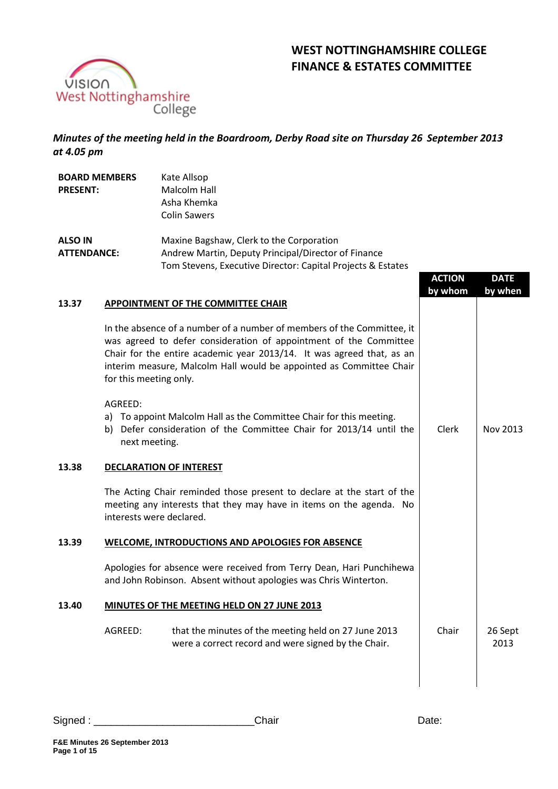

# **WEST NOTTINGHAMSHIRE COLLEGE FINANCE & ESTATES COMMITTEE**

*Minutes of the meeting held in the Boardroom, Derby Road site on Thursday 26 September 2013 at 4.05 pm*

| <b>BOARD MEMBERS</b><br><b>PRESENT:</b> |                          | Kate Allsop<br>Malcolm Hall<br>Asha Khemka<br><b>Colin Sawers</b>                                                                                                                                                                                                                           |                          |                        |
|-----------------------------------------|--------------------------|---------------------------------------------------------------------------------------------------------------------------------------------------------------------------------------------------------------------------------------------------------------------------------------------|--------------------------|------------------------|
| <b>ALSO IN</b><br><b>ATTENDANCE:</b>    |                          | Maxine Bagshaw, Clerk to the Corporation<br>Andrew Martin, Deputy Principal/Director of Finance<br>Tom Stevens, Executive Director: Capital Projects & Estates                                                                                                                              | <b>ACTION</b><br>by whom | <b>DATE</b><br>by when |
| 13.37                                   |                          | APPOINTMENT OF THE COMMITTEE CHAIR                                                                                                                                                                                                                                                          |                          |                        |
|                                         | for this meeting only.   | In the absence of a number of a number of members of the Committee, it<br>was agreed to defer consideration of appointment of the Committee<br>Chair for the entire academic year 2013/14. It was agreed that, as an<br>interim measure, Malcolm Hall would be appointed as Committee Chair |                          |                        |
|                                         | AGREED:<br>next meeting. | a) To appoint Malcolm Hall as the Committee Chair for this meeting.<br>b) Defer consideration of the Committee Chair for 2013/14 until the                                                                                                                                                  | Clerk                    | Nov 2013               |
| 13.38                                   |                          | <b>DECLARATION OF INTEREST</b>                                                                                                                                                                                                                                                              |                          |                        |
|                                         | interests were declared. | The Acting Chair reminded those present to declare at the start of the<br>meeting any interests that they may have in items on the agenda. No                                                                                                                                               |                          |                        |
| 13.39                                   |                          | <b>WELCOME, INTRODUCTIONS AND APOLOGIES FOR ABSENCE</b>                                                                                                                                                                                                                                     |                          |                        |
|                                         |                          | Apologies for absence were received from Terry Dean, Hari Punchihewa<br>and John Robinson. Absent without apologies was Chris Winterton.                                                                                                                                                    |                          |                        |
| 13.40                                   |                          | MINUTES OF THE MEETING HELD ON 27 JUNE 2013                                                                                                                                                                                                                                                 |                          |                        |
|                                         | AGREED:                  | that the minutes of the meeting held on 27 June 2013<br>were a correct record and were signed by the Chair.                                                                                                                                                                                 | Chair                    | 26 Sept<br>2013        |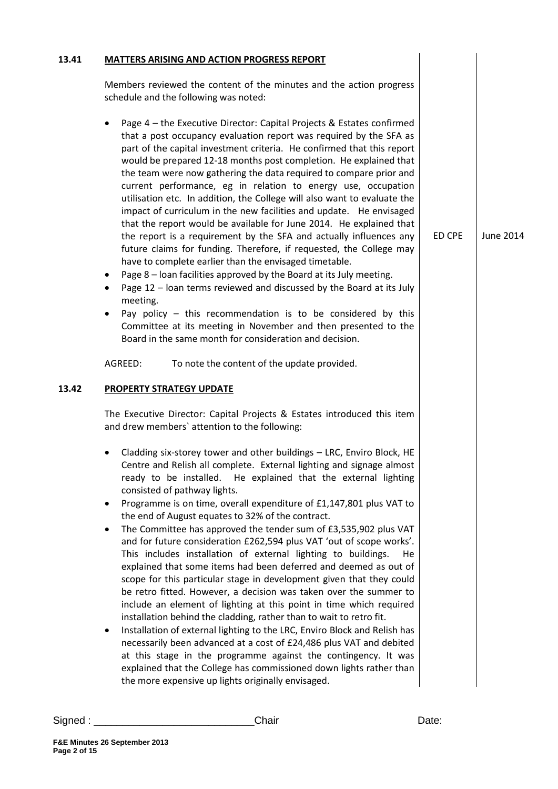| 13.41 | <b>MATTERS ARISING AND ACTION PROGRESS REPORT</b>                                                                                                                                                                                                                                                                                                                                                                                                                                                                                                                                                                                                                                                                                                                                                                                                                                                                                                                                                                                                                                                                                                                                                                                                                                                                                       |        |           |
|-------|-----------------------------------------------------------------------------------------------------------------------------------------------------------------------------------------------------------------------------------------------------------------------------------------------------------------------------------------------------------------------------------------------------------------------------------------------------------------------------------------------------------------------------------------------------------------------------------------------------------------------------------------------------------------------------------------------------------------------------------------------------------------------------------------------------------------------------------------------------------------------------------------------------------------------------------------------------------------------------------------------------------------------------------------------------------------------------------------------------------------------------------------------------------------------------------------------------------------------------------------------------------------------------------------------------------------------------------------|--------|-----------|
|       | Members reviewed the content of the minutes and the action progress<br>schedule and the following was noted:                                                                                                                                                                                                                                                                                                                                                                                                                                                                                                                                                                                                                                                                                                                                                                                                                                                                                                                                                                                                                                                                                                                                                                                                                            |        |           |
|       | Page 4 - the Executive Director: Capital Projects & Estates confirmed<br>that a post occupancy evaluation report was required by the SFA as<br>part of the capital investment criteria. He confirmed that this report<br>would be prepared 12-18 months post completion. He explained that<br>the team were now gathering the data required to compare prior and<br>current performance, eg in relation to energy use, occupation<br>utilisation etc. In addition, the College will also want to evaluate the<br>impact of curriculum in the new facilities and update. He envisaged<br>that the report would be available for June 2014. He explained that<br>the report is a requirement by the SFA and actually influences any<br>future claims for funding. Therefore, if requested, the College may<br>have to complete earlier than the envisaged timetable.<br>Page 8 - Ioan facilities approved by the Board at its July meeting.<br>٠<br>Page 12 - Ioan terms reviewed and discussed by the Board at its July<br>٠<br>meeting.<br>Pay policy $-$ this recommendation is to be considered by this<br>Committee at its meeting in November and then presented to the<br>Board in the same month for consideration and decision.<br>AGREED:<br>To note the content of the update provided.                                        | ED CPE | June 2014 |
| 13.42 | PROPERTY STRATEGY UPDATE                                                                                                                                                                                                                                                                                                                                                                                                                                                                                                                                                                                                                                                                                                                                                                                                                                                                                                                                                                                                                                                                                                                                                                                                                                                                                                                |        |           |
|       | The Executive Director: Capital Projects & Estates introduced this item<br>and drew members' attention to the following:                                                                                                                                                                                                                                                                                                                                                                                                                                                                                                                                                                                                                                                                                                                                                                                                                                                                                                                                                                                                                                                                                                                                                                                                                |        |           |
|       | Cladding six-storey tower and other buildings - LRC, Enviro Block, HE<br>Centre and Relish all complete. External lighting and signage almost<br>ready to be installed. He explained that the external lighting<br>consisted of pathway lights.<br>Programme is on time, overall expenditure of £1,147,801 plus VAT to<br>٠<br>the end of August equates to 32% of the contract.<br>The Committee has approved the tender sum of £3,535,902 plus VAT<br>$\bullet$<br>and for future consideration £262,594 plus VAT 'out of scope works'.<br>This includes installation of external lighting to buildings.<br>He<br>explained that some items had been deferred and deemed as out of<br>scope for this particular stage in development given that they could<br>be retro fitted. However, a decision was taken over the summer to<br>include an element of lighting at this point in time which required<br>installation behind the cladding, rather than to wait to retro fit.<br>Installation of external lighting to the LRC, Enviro Block and Relish has<br>٠<br>necessarily been advanced at a cost of £24,486 plus VAT and debited<br>at this stage in the programme against the contingency. It was<br>explained that the College has commissioned down lights rather than<br>the more expensive up lights originally envisaged. |        |           |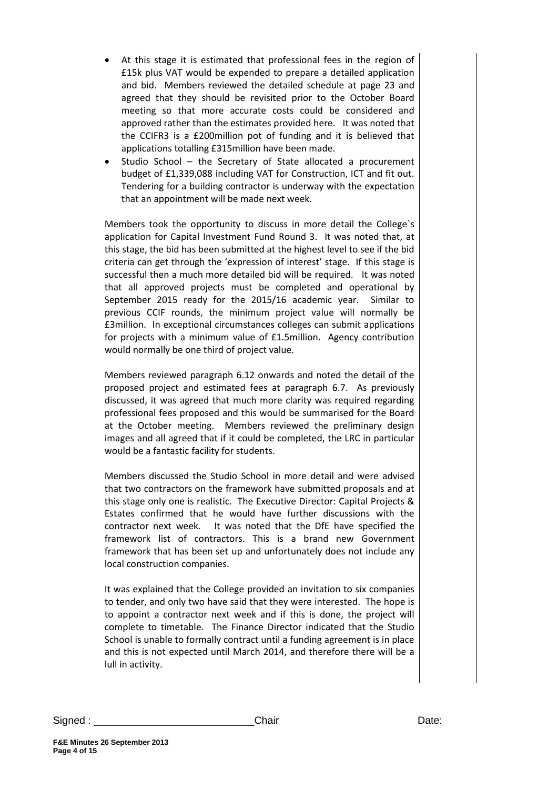- At this stage it is estimated that professional fees in the region of £15k plus VAT would be expended to prepare a detailed application and bid. Members reviewed the detailed schedule at page 23 and agreed that they should be revisited prior to the October Board meeting so that more accurate costs could be considered and approved rather than the estimates provided here. It was noted that the CCIFR3 is a £200million pot of funding and it is believed that applications totalling £315million have been made.
- Studio School the Secretary of State allocated a procurement budget of £1,339,088 including VAT for Construction, ICT and fit out. Tendering for a building contractor is underway with the expectation that an appointment will be made next week.

Members took the opportunity to discuss in more detail the College`s application for Capital Investment Fund Round 3. It was noted that, at this stage, the bid has been submitted at the highest level to see if the bid criteria can get through the 'expression of interest' stage. If this stage is successful then a much more detailed bid will be required. It was noted that all approved projects must be completed and operational by September 2015 ready for the 2015/16 academic year. Similar to previous CCIF rounds, the minimum project value will normally be £3million. In exceptional circumstances colleges can submit applications for projects with a minimum value of £1.5million. Agency contribution would normally be one third of project value.

Members reviewed paragraph 6.12 onwards and noted the detail of the proposed project and estimated fees at paragraph 6.7. As previously discussed, it was agreed that much more clarity was required regarding professional fees proposed and this would be summarised for the Board at the October meeting. Members reviewed the preliminary design images and all agreed that if it could be completed, the LRC in particular would be a fantastic facility for students.

Members discussed the Studio School in more detail and were advised that two contractors on the framework have submitted proposals and at this stage only one is realistic. The Executive Director: Capital Projects & Estates confirmed that he would have further discussions with the contractor next week. It was noted that the DfE have specified the framework list of contractors. This is a brand new Government framework that has been set up and unfortunately does not include any local construction companies.

It was explained that the College provided an invitation to six companies to tender, and only two have said that they were interested. The hope is to appoint a contractor next week and if this is done, the project will complete to timetable. The Finance Director indicated that the Studio School is unable to formally contract until a funding agreement is in place and this is not expected until March 2014, and therefore there will be a lull in activity.

Signed : \_\_\_\_\_\_\_\_\_\_\_\_\_\_\_\_\_\_\_\_\_\_\_\_\_\_\_\_Chair Date: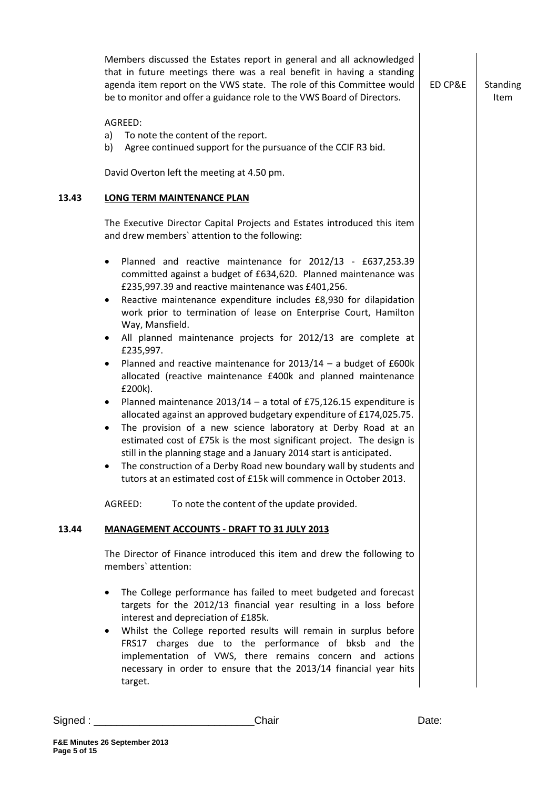|       | Members discussed the Estates report in general and all acknowledged<br>that in future meetings there was a real benefit in having a standing<br>agenda item report on the VWS state. The role of this Committee would<br>be to monitor and offer a guidance role to the VWS Board of Directors.                                                                                                                                                                                                                                                                                                                                                                                                                                                                                                                                                                                                                                                                                                                                                                                                                                                  | ED CP&E | Standing<br><b>Item</b> |
|-------|---------------------------------------------------------------------------------------------------------------------------------------------------------------------------------------------------------------------------------------------------------------------------------------------------------------------------------------------------------------------------------------------------------------------------------------------------------------------------------------------------------------------------------------------------------------------------------------------------------------------------------------------------------------------------------------------------------------------------------------------------------------------------------------------------------------------------------------------------------------------------------------------------------------------------------------------------------------------------------------------------------------------------------------------------------------------------------------------------------------------------------------------------|---------|-------------------------|
|       | AGREED:<br>To note the content of the report.<br>a)<br>Agree continued support for the pursuance of the CCIF R3 bid.<br>b)                                                                                                                                                                                                                                                                                                                                                                                                                                                                                                                                                                                                                                                                                                                                                                                                                                                                                                                                                                                                                        |         |                         |
|       | David Overton left the meeting at 4.50 pm.                                                                                                                                                                                                                                                                                                                                                                                                                                                                                                                                                                                                                                                                                                                                                                                                                                                                                                                                                                                                                                                                                                        |         |                         |
| 13.43 | <b>LONG TERM MAINTENANCE PLAN</b>                                                                                                                                                                                                                                                                                                                                                                                                                                                                                                                                                                                                                                                                                                                                                                                                                                                                                                                                                                                                                                                                                                                 |         |                         |
|       | The Executive Director Capital Projects and Estates introduced this item<br>and drew members' attention to the following:                                                                                                                                                                                                                                                                                                                                                                                                                                                                                                                                                                                                                                                                                                                                                                                                                                                                                                                                                                                                                         |         |                         |
|       | Planned and reactive maintenance for 2012/13 - £637,253.39<br>$\bullet$<br>committed against a budget of £634,620. Planned maintenance was<br>£235,997.39 and reactive maintenance was £401,256.<br>Reactive maintenance expenditure includes £8,930 for dilapidation<br>٠<br>work prior to termination of lease on Enterprise Court, Hamilton<br>Way, Mansfield.<br>All planned maintenance projects for 2012/13 are complete at<br>٠<br>£235,997.<br>Planned and reactive maintenance for $2013/14 - a$ budget of £600k<br>٠<br>allocated (reactive maintenance £400k and planned maintenance<br>£200k).<br>Planned maintenance $2013/14 - a$ total of £75,126.15 expenditure is<br>$\bullet$<br>allocated against an approved budgetary expenditure of £174,025.75.<br>The provision of a new science laboratory at Derby Road at an<br>$\bullet$<br>estimated cost of £75k is the most significant project. The design is<br>still in the planning stage and a January 2014 start is anticipated.<br>The construction of a Derby Road new boundary wall by students and<br>tutors at an estimated cost of £15k will commence in October 2013. |         |                         |
|       | AGREED:<br>To note the content of the update provided.                                                                                                                                                                                                                                                                                                                                                                                                                                                                                                                                                                                                                                                                                                                                                                                                                                                                                                                                                                                                                                                                                            |         |                         |
| 13.44 | <b>MANAGEMENT ACCOUNTS - DRAFT TO 31 JULY 2013</b>                                                                                                                                                                                                                                                                                                                                                                                                                                                                                                                                                                                                                                                                                                                                                                                                                                                                                                                                                                                                                                                                                                |         |                         |
|       | The Director of Finance introduced this item and drew the following to<br>members' attention:                                                                                                                                                                                                                                                                                                                                                                                                                                                                                                                                                                                                                                                                                                                                                                                                                                                                                                                                                                                                                                                     |         |                         |
|       | The College performance has failed to meet budgeted and forecast<br>$\bullet$<br>targets for the 2012/13 financial year resulting in a loss before<br>interest and depreciation of £185k.<br>Whilst the College reported results will remain in surplus before<br>$\bullet$<br>FRS17 charges due to the performance of bksb and the<br>implementation of VWS, there remains concern and actions<br>necessary in order to ensure that the 2013/14 financial year hits<br>target.                                                                                                                                                                                                                                                                                                                                                                                                                                                                                                                                                                                                                                                                   |         |                         |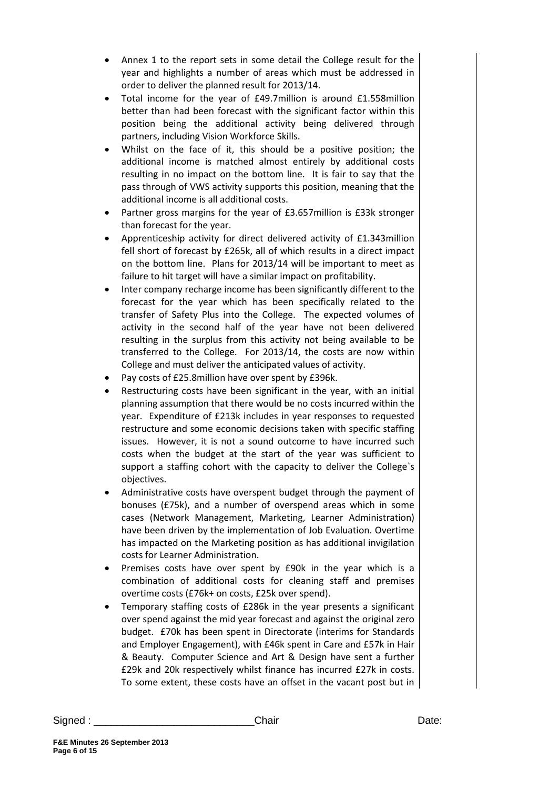- Annex 1 to the report sets in some detail the College result for the year and highlights a number of areas which must be addressed in order to deliver the planned result for 2013/14.
- Total income for the year of £49.7million is around £1.558million better than had been forecast with the significant factor within this position being the additional activity being delivered through partners, including Vision Workforce Skills.
- Whilst on the face of it, this should be a positive position; the additional income is matched almost entirely by additional costs resulting in no impact on the bottom line. It is fair to say that the pass through of VWS activity supports this position, meaning that the additional income is all additional costs.
- Partner gross margins for the year of £3.657million is £33k stronger than forecast for the year.
- Apprenticeship activity for direct delivered activity of £1.343million fell short of forecast by £265k, all of which results in a direct impact on the bottom line. Plans for 2013/14 will be important to meet as failure to hit target will have a similar impact on profitability.
- Inter company recharge income has been significantly different to the forecast for the year which has been specifically related to the transfer of Safety Plus into the College. The expected volumes of activity in the second half of the year have not been delivered resulting in the surplus from this activity not being available to be transferred to the College. For 2013/14, the costs are now within College and must deliver the anticipated values of activity.
- Pay costs of £25.8million have over spent by £396k.
- Restructuring costs have been significant in the year, with an initial planning assumption that there would be no costs incurred within the year. Expenditure of £213k includes in year responses to requested restructure and some economic decisions taken with specific staffing issues. However, it is not a sound outcome to have incurred such costs when the budget at the start of the year was sufficient to support a staffing cohort with the capacity to deliver the College`s objectives.
- Administrative costs have overspent budget through the payment of bonuses (£75k), and a number of overspend areas which in some cases (Network Management, Marketing, Learner Administration) have been driven by the implementation of Job Evaluation. Overtime has impacted on the Marketing position as has additional invigilation costs for Learner Administration.
- Premises costs have over spent by £90k in the year which is a combination of additional costs for cleaning staff and premises overtime costs (£76k+ on costs, £25k over spend).
- Temporary staffing costs of £286k in the year presents a significant over spend against the mid year forecast and against the original zero budget. £70k has been spent in Directorate (interims for Standards and Employer Engagement), with £46k spent in Care and £57k in Hair & Beauty. Computer Science and Art & Design have sent a further £29k and 20k respectively whilst finance has incurred £27k in costs. To some extent, these costs have an offset in the vacant post but in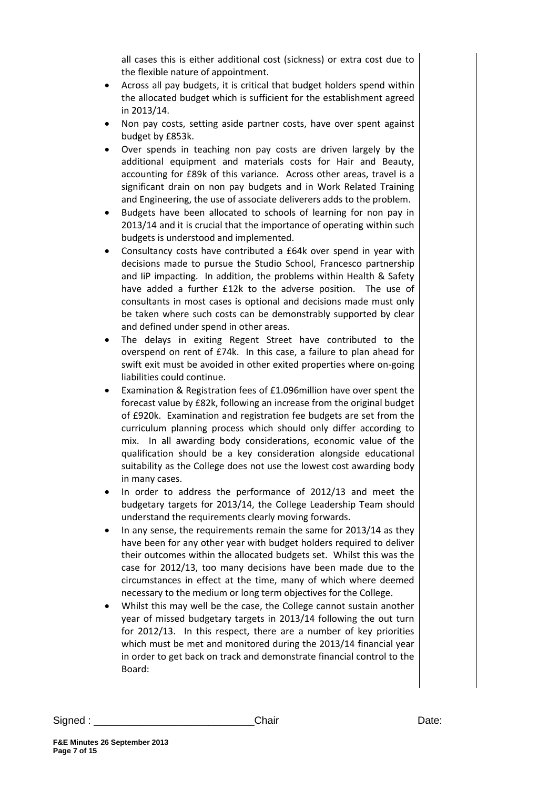all cases this is either additional cost (sickness) or extra cost due to the flexible nature of appointment.

- Across all pay budgets, it is critical that budget holders spend within the allocated budget which is sufficient for the establishment agreed in 2013/14.
- Non pay costs, setting aside partner costs, have over spent against budget by £853k.
- Over spends in teaching non pay costs are driven largely by the additional equipment and materials costs for Hair and Beauty, accounting for £89k of this variance. Across other areas, travel is a significant drain on non pay budgets and in Work Related Training and Engineering, the use of associate deliverers adds to the problem.
- Budgets have been allocated to schools of learning for non pay in 2013/14 and it is crucial that the importance of operating within such budgets is understood and implemented.
- Consultancy costs have contributed a £64k over spend in year with decisions made to pursue the Studio School, Francesco partnership and IiP impacting. In addition, the problems within Health & Safety have added a further £12k to the adverse position. The use of consultants in most cases is optional and decisions made must only be taken where such costs can be demonstrably supported by clear and defined under spend in other areas.
- The delays in exiting Regent Street have contributed to the overspend on rent of £74k. In this case, a failure to plan ahead for swift exit must be avoided in other exited properties where on-going liabilities could continue.
- Examination & Registration fees of £1.096million have over spent the forecast value by £82k, following an increase from the original budget of £920k. Examination and registration fee budgets are set from the curriculum planning process which should only differ according to mix. In all awarding body considerations, economic value of the qualification should be a key consideration alongside educational suitability as the College does not use the lowest cost awarding body in many cases.
- In order to address the performance of 2012/13 and meet the budgetary targets for 2013/14, the College Leadership Team should understand the requirements clearly moving forwards.
- In any sense, the requirements remain the same for 2013/14 as they have been for any other year with budget holders required to deliver their outcomes within the allocated budgets set. Whilst this was the case for 2012/13, too many decisions have been made due to the circumstances in effect at the time, many of which where deemed necessary to the medium or long term objectives for the College.
- Whilst this may well be the case, the College cannot sustain another year of missed budgetary targets in 2013/14 following the out turn for 2012/13. In this respect, there are a number of key priorities which must be met and monitored during the 2013/14 financial year in order to get back on track and demonstrate financial control to the Board:

Signed : \_\_\_\_\_\_\_\_\_\_\_\_\_\_\_\_\_\_\_\_\_\_\_\_\_\_\_\_Chair Date: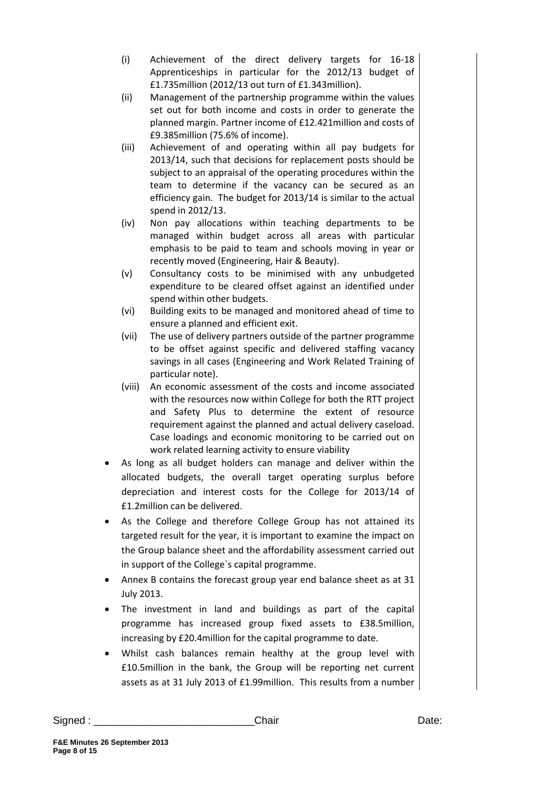- (i) Achievement of the direct delivery targets for 16-18 Apprenticeships in particular for the 2012/13 budget of £1.735million (2012/13 out turn of £1.343million).
- (ii) Management of the partnership programme within the values set out for both income and costs in order to generate the planned margin. Partner income of £12.421million and costs of £9.385million (75.6% of income).
- (iii) Achievement of and operating within all pay budgets for 2013/14, such that decisions for replacement posts should be subject to an appraisal of the operating procedures within the team to determine if the vacancy can be secured as an efficiency gain. The budget for 2013/14 is similar to the actual spend in 2012/13.
- (iv) Non pay allocations within teaching departments to be managed within budget across all areas with particular emphasis to be paid to team and schools moving in year or recently moved (Engineering, Hair & Beauty).
- (v) Consultancy costs to be minimised with any unbudgeted expenditure to be cleared offset against an identified under spend within other budgets.
- (vi) Building exits to be managed and monitored ahead of time to ensure a planned and efficient exit.
- (vii) The use of delivery partners outside of the partner programme to be offset against specific and delivered staffing vacancy savings in all cases (Engineering and Work Related Training of particular note).
- (viii) An economic assessment of the costs and income associated with the resources now within College for both the RTT project and Safety Plus to determine the extent of resource requirement against the planned and actual delivery caseload. Case loadings and economic monitoring to be carried out on work related learning activity to ensure viability
- As long as all budget holders can manage and deliver within the allocated budgets, the overall target operating surplus before depreciation and interest costs for the College for 2013/14 of £1.2million can be delivered.
- As the College and therefore College Group has not attained its targeted result for the year, it is important to examine the impact on the Group balance sheet and the affordability assessment carried out in support of the College`s capital programme.
- Annex B contains the forecast group year end balance sheet as at 31 July 2013.
- The investment in land and buildings as part of the capital programme has increased group fixed assets to £38.5million, increasing by £20.4million for the capital programme to date.
- Whilst cash balances remain healthy at the group level with £10.5million in the bank, the Group will be reporting net current assets as at 31 July 2013 of £1.99million. This results from a number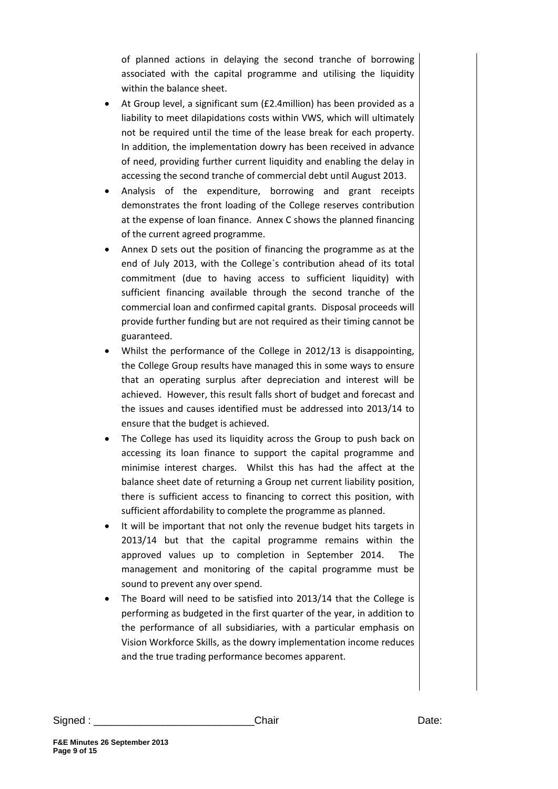of planned actions in delaying the second tranche of borrowing associated with the capital programme and utilising the liquidity within the balance sheet.

- At Group level, a significant sum (£2.4million) has been provided as a liability to meet dilapidations costs within VWS, which will ultimately not be required until the time of the lease break for each property. In addition, the implementation dowry has been received in advance of need, providing further current liquidity and enabling the delay in accessing the second tranche of commercial debt until August 2013.
- Analysis of the expenditure, borrowing and grant receipts demonstrates the front loading of the College reserves contribution at the expense of loan finance. Annex C shows the planned financing of the current agreed programme.
- Annex D sets out the position of financing the programme as at the end of July 2013, with the College`s contribution ahead of its total commitment (due to having access to sufficient liquidity) with sufficient financing available through the second tranche of the commercial loan and confirmed capital grants. Disposal proceeds will provide further funding but are not required as their timing cannot be guaranteed.
- Whilst the performance of the College in 2012/13 is disappointing, the College Group results have managed this in some ways to ensure that an operating surplus after depreciation and interest will be achieved. However, this result falls short of budget and forecast and the issues and causes identified must be addressed into 2013/14 to ensure that the budget is achieved.
- The College has used its liquidity across the Group to push back on accessing its loan finance to support the capital programme and minimise interest charges. Whilst this has had the affect at the balance sheet date of returning a Group net current liability position, there is sufficient access to financing to correct this position, with sufficient affordability to complete the programme as planned.
- It will be important that not only the revenue budget hits targets in 2013/14 but that the capital programme remains within the approved values up to completion in September 2014. The management and monitoring of the capital programme must be sound to prevent any over spend.
- The Board will need to be satisfied into 2013/14 that the College is performing as budgeted in the first quarter of the year, in addition to the performance of all subsidiaries, with a particular emphasis on Vision Workforce Skills, as the dowry implementation income reduces and the true trading performance becomes apparent.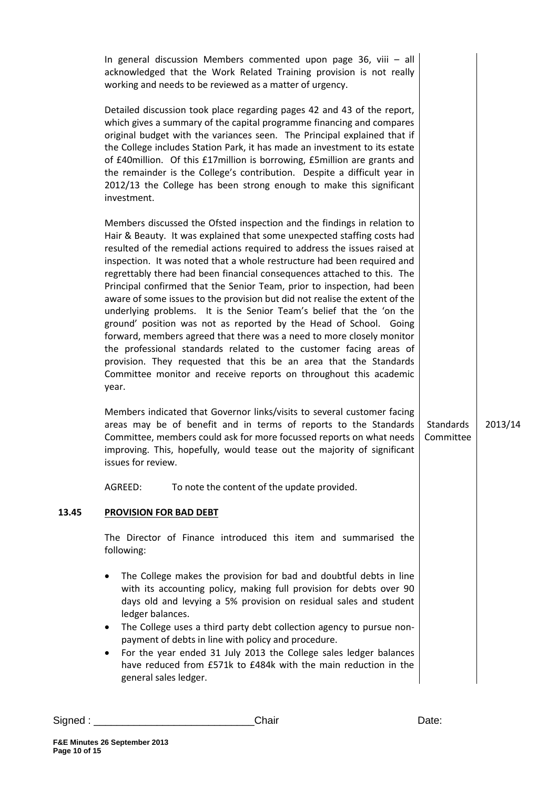|       | In general discussion Members commented upon page 36, viii $-$ all<br>acknowledged that the Work Related Training provision is not really<br>working and needs to be reviewed as a matter of urgency.                                                                                                                                                                                                                                                                                                                                                                                                                                                                                                                                                                                                                                                                                                                                                                                          |                        |         |
|-------|------------------------------------------------------------------------------------------------------------------------------------------------------------------------------------------------------------------------------------------------------------------------------------------------------------------------------------------------------------------------------------------------------------------------------------------------------------------------------------------------------------------------------------------------------------------------------------------------------------------------------------------------------------------------------------------------------------------------------------------------------------------------------------------------------------------------------------------------------------------------------------------------------------------------------------------------------------------------------------------------|------------------------|---------|
|       | Detailed discussion took place regarding pages 42 and 43 of the report,<br>which gives a summary of the capital programme financing and compares<br>original budget with the variances seen. The Principal explained that if<br>the College includes Station Park, it has made an investment to its estate<br>of £40million. Of this £17million is borrowing, £5million are grants and<br>the remainder is the College's contribution. Despite a difficult year in<br>2012/13 the College has been strong enough to make this significant<br>investment.                                                                                                                                                                                                                                                                                                                                                                                                                                       |                        |         |
|       | Members discussed the Ofsted inspection and the findings in relation to<br>Hair & Beauty. It was explained that some unexpected staffing costs had<br>resulted of the remedial actions required to address the issues raised at<br>inspection. It was noted that a whole restructure had been required and<br>regrettably there had been financial consequences attached to this. The<br>Principal confirmed that the Senior Team, prior to inspection, had been<br>aware of some issues to the provision but did not realise the extent of the<br>underlying problems. It is the Senior Team's belief that the 'on the<br>ground' position was not as reported by the Head of School. Going<br>forward, members agreed that there was a need to more closely monitor<br>the professional standards related to the customer facing areas of<br>provision. They requested that this be an area that the Standards<br>Committee monitor and receive reports on throughout this academic<br>year. |                        |         |
|       | Members indicated that Governor links/visits to several customer facing<br>areas may be of benefit and in terms of reports to the Standards<br>Committee, members could ask for more focussed reports on what needs<br>improving. This, hopefully, would tease out the majority of significant<br>issues for review.                                                                                                                                                                                                                                                                                                                                                                                                                                                                                                                                                                                                                                                                           | Standards<br>Committee | 2013/14 |
|       | AGREED:<br>To note the content of the update provided.                                                                                                                                                                                                                                                                                                                                                                                                                                                                                                                                                                                                                                                                                                                                                                                                                                                                                                                                         |                        |         |
| 13.45 | <b>PROVISION FOR BAD DEBT</b>                                                                                                                                                                                                                                                                                                                                                                                                                                                                                                                                                                                                                                                                                                                                                                                                                                                                                                                                                                  |                        |         |
|       | The Director of Finance introduced this item and summarised the<br>following:                                                                                                                                                                                                                                                                                                                                                                                                                                                                                                                                                                                                                                                                                                                                                                                                                                                                                                                  |                        |         |
|       | The College makes the provision for bad and doubtful debts in line<br>$\bullet$<br>with its accounting policy, making full provision for debts over 90<br>days old and levying a 5% provision on residual sales and student<br>ledger balances.<br>The College uses a third party debt collection agency to pursue non-<br>$\bullet$<br>payment of debts in line with policy and procedure.<br>For the year ended 31 July 2013 the College sales ledger balances<br>have reduced from £571k to £484k with the main reduction in the<br>general sales ledger.                                                                                                                                                                                                                                                                                                                                                                                                                                   |                        |         |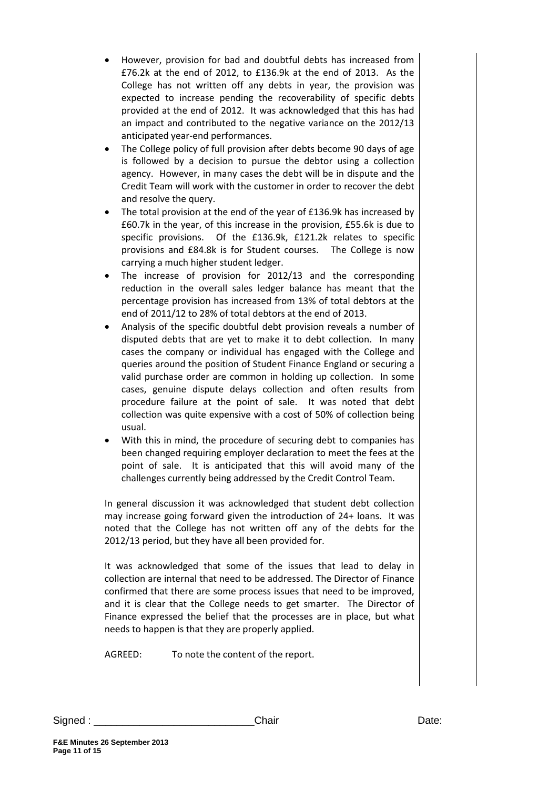- However, provision for bad and doubtful debts has increased from £76.2k at the end of 2012, to £136.9k at the end of 2013. As the College has not written off any debts in year, the provision was expected to increase pending the recoverability of specific debts provided at the end of 2012. It was acknowledged that this has had an impact and contributed to the negative variance on the 2012/13 anticipated year-end performances.
- The College policy of full provision after debts become 90 days of age is followed by a decision to pursue the debtor using a collection agency. However, in many cases the debt will be in dispute and the Credit Team will work with the customer in order to recover the debt and resolve the query.
- The total provision at the end of the year of £136.9k has increased by £60.7k in the year, of this increase in the provision, £55.6k is due to specific provisions. Of the £136.9k, £121.2k relates to specific provisions and £84.8k is for Student courses. The College is now carrying a much higher student ledger.
- The increase of provision for 2012/13 and the corresponding reduction in the overall sales ledger balance has meant that the percentage provision has increased from 13% of total debtors at the end of 2011/12 to 28% of total debtors at the end of 2013.
- Analysis of the specific doubtful debt provision reveals a number of disputed debts that are yet to make it to debt collection. In many cases the company or individual has engaged with the College and queries around the position of Student Finance England or securing a valid purchase order are common in holding up collection. In some cases, genuine dispute delays collection and often results from procedure failure at the point of sale. It was noted that debt collection was quite expensive with a cost of 50% of collection being usual.
- With this in mind, the procedure of securing debt to companies has been changed requiring employer declaration to meet the fees at the point of sale. It is anticipated that this will avoid many of the challenges currently being addressed by the Credit Control Team.

In general discussion it was acknowledged that student debt collection may increase going forward given the introduction of 24+ loans. It was noted that the College has not written off any of the debts for the 2012/13 period, but they have all been provided for.

It was acknowledged that some of the issues that lead to delay in collection are internal that need to be addressed. The Director of Finance confirmed that there are some process issues that need to be improved, and it is clear that the College needs to get smarter. The Director of Finance expressed the belief that the processes are in place, but what needs to happen is that they are properly applied.

AGREED: To note the content of the report.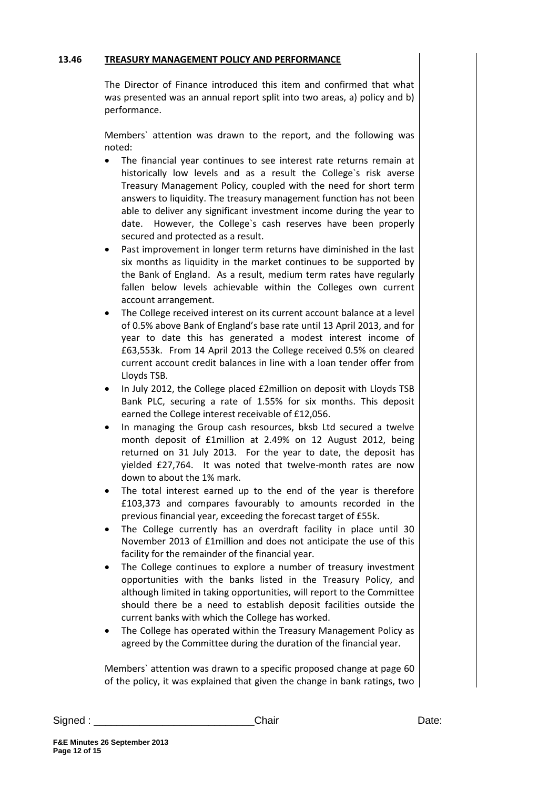#### **13.46 TREASURY MANAGEMENT POLICY AND PERFORMANCE**

The Director of Finance introduced this item and confirmed that what was presented was an annual report split into two areas, a) policy and b) performance.

Members` attention was drawn to the report, and the following was noted:

- The financial year continues to see interest rate returns remain at historically low levels and as a result the College`s risk averse Treasury Management Policy, coupled with the need for short term answers to liquidity. The treasury management function has not been able to deliver any significant investment income during the year to date. However, the College`s cash reserves have been properly secured and protected as a result.
- Past improvement in longer term returns have diminished in the last six months as liquidity in the market continues to be supported by the Bank of England. As a result, medium term rates have regularly fallen below levels achievable within the Colleges own current account arrangement.
- The College received interest on its current account balance at a level of 0.5% above Bank of England's base rate until 13 April 2013, and for year to date this has generated a modest interest income of £63,553k. From 14 April 2013 the College received 0.5% on cleared current account credit balances in line with a loan tender offer from Lloyds TSB.
- In July 2012, the College placed £2million on deposit with Lloyds TSB Bank PLC, securing a rate of 1.55% for six months. This deposit earned the College interest receivable of £12,056.
- In managing the Group cash resources, bksb Ltd secured a twelve month deposit of £1million at 2.49% on 12 August 2012, being returned on 31 July 2013. For the year to date, the deposit has yielded £27,764. It was noted that twelve-month rates are now down to about the 1% mark.
- The total interest earned up to the end of the year is therefore £103,373 and compares favourably to amounts recorded in the previous financial year, exceeding the forecast target of £55k.
- The College currently has an overdraft facility in place until 30 November 2013 of £1million and does not anticipate the use of this facility for the remainder of the financial year.
- The College continues to explore a number of treasury investment opportunities with the banks listed in the Treasury Policy, and although limited in taking opportunities, will report to the Committee should there be a need to establish deposit facilities outside the current banks with which the College has worked.
- The College has operated within the Treasury Management Policy as agreed by the Committee during the duration of the financial year.

Members` attention was drawn to a specific proposed change at page 60 of the policy, it was explained that given the change in bank ratings, two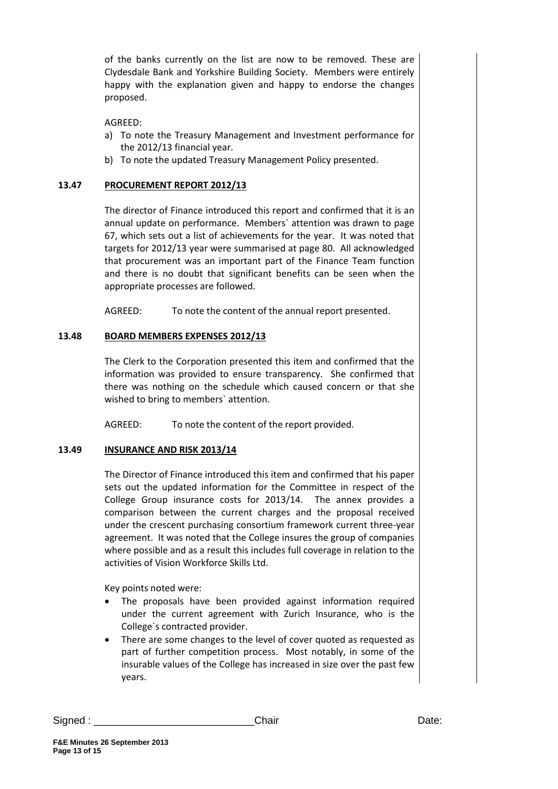of the banks currently on the list are now to be removed. These are Clydesdale Bank and Yorkshire Building Society. Members were entirely happy with the explanation given and happy to endorse the changes proposed.

## AGREED:

- a) To note the Treasury Management and Investment performance for the 2012/13 financial year.
- b) To note the updated Treasury Management Policy presented.

## **13.47 PROCUREMENT REPORT 2012/13**

The director of Finance introduced this report and confirmed that it is an annual update on performance. Members` attention was drawn to page 67, which sets out a list of achievements for the year. It was noted that targets for 2012/13 year were summarised at page 80. All acknowledged that procurement was an important part of the Finance Team function and there is no doubt that significant benefits can be seen when the appropriate processes are followed.

AGREED: To note the content of the annual report presented.

#### **13.48 BOARD MEMBERS EXPENSES 2012/13**

The Clerk to the Corporation presented this item and confirmed that the information was provided to ensure transparency. She confirmed that there was nothing on the schedule which caused concern or that she wished to bring to members` attention.

AGREED: To note the content of the report provided.

#### **13.49 INSURANCE AND RISK 2013/14**

The Director of Finance introduced this item and confirmed that his paper sets out the updated information for the Committee in respect of the College Group insurance costs for 2013/14. The annex provides a comparison between the current charges and the proposal received under the crescent purchasing consortium framework current three-year agreement. It was noted that the College insures the group of companies where possible and as a result this includes full coverage in relation to the activities of Vision Workforce Skills Ltd.

Key points noted were:

- The proposals have been provided against information required under the current agreement with Zurich Insurance, who is the College`s contracted provider.
- There are some changes to the level of cover quoted as requested as part of further competition process. Most notably, in some of the insurable values of the College has increased in size over the past few years.

Signed : \_\_\_\_\_\_\_\_\_\_\_\_\_\_\_\_\_\_\_\_\_\_\_\_\_\_\_\_Chair Date: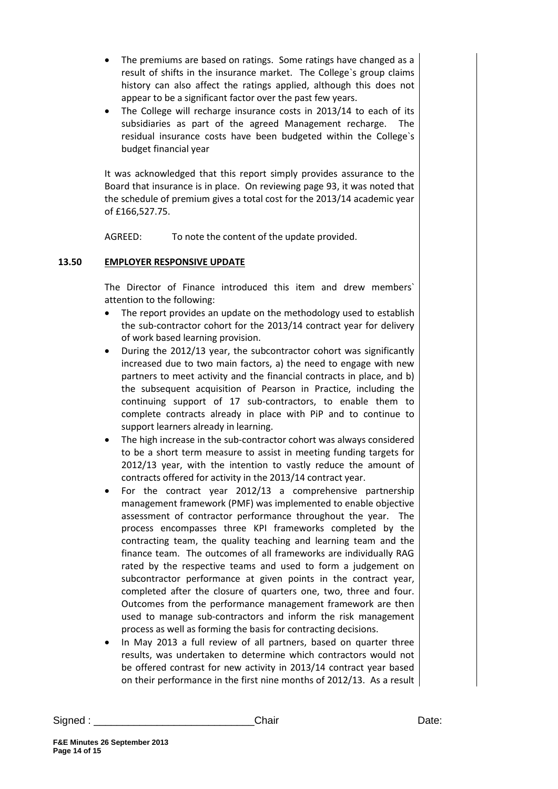- The premiums are based on ratings. Some ratings have changed as a result of shifts in the insurance market. The College`s group claims history can also affect the ratings applied, although this does not appear to be a significant factor over the past few years.
- The College will recharge insurance costs in 2013/14 to each of its subsidiaries as part of the agreed Management recharge. The residual insurance costs have been budgeted within the College`s budget financial year

It was acknowledged that this report simply provides assurance to the Board that insurance is in place. On reviewing page 93, it was noted that the schedule of premium gives a total cost for the 2013/14 academic year of £166,527.75.

AGREED: To note the content of the update provided.

# **13.50 EMPLOYER RESPONSIVE UPDATE**

The Director of Finance introduced this item and drew members` attention to the following:

- The report provides an update on the methodology used to establish the sub-contractor cohort for the 2013/14 contract year for delivery of work based learning provision.
- During the 2012/13 year, the subcontractor cohort was significantly increased due to two main factors, a) the need to engage with new partners to meet activity and the financial contracts in place, and b) the subsequent acquisition of Pearson in Practice, including the continuing support of 17 sub-contractors, to enable them to complete contracts already in place with PiP and to continue to support learners already in learning.
- The high increase in the sub-contractor cohort was always considered to be a short term measure to assist in meeting funding targets for 2012/13 year, with the intention to vastly reduce the amount of contracts offered for activity in the 2013/14 contract year.
- For the contract year 2012/13 a comprehensive partnership management framework (PMF) was implemented to enable objective assessment of contractor performance throughout the year. The process encompasses three KPI frameworks completed by the contracting team, the quality teaching and learning team and the finance team. The outcomes of all frameworks are individually RAG rated by the respective teams and used to form a judgement on subcontractor performance at given points in the contract year, completed after the closure of quarters one, two, three and four. Outcomes from the performance management framework are then used to manage sub-contractors and inform the risk management process as well as forming the basis for contracting decisions.
- In May 2013 a full review of all partners, based on quarter three results, was undertaken to determine which contractors would not be offered contrast for new activity in 2013/14 contract year based on their performance in the first nine months of 2012/13. As a result

Signed : \_\_\_\_\_\_\_\_\_\_\_\_\_\_\_\_\_\_\_\_\_\_\_\_\_\_\_\_Chair Date: